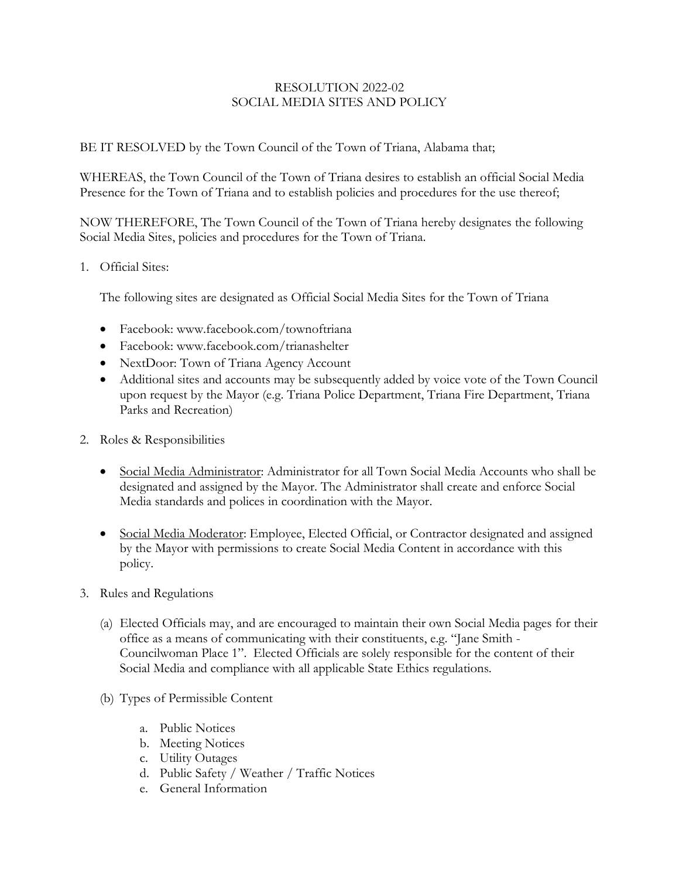## RESOLUTION 2022-02 SOCIAL MEDIA SITES AND POLICY

BE IT RESOLVED by the Town Council of the Town of Triana, Alabama that;

WHEREAS, the Town Council of the Town of Triana desires to establish an official Social Media Presence for the Town of Triana and to establish policies and procedures for the use thereof;

NOW THEREFORE, The Town Council of the Town of Triana hereby designates the following Social Media Sites, policies and procedures for the Town of Triana.

1. Official Sites:

The following sites are designated as Official Social Media Sites for the Town of Triana

- Facebook: www.facebook.com/townoftriana
- Facebook: www.facebook.com/trianashelter
- NextDoor: Town of Triana Agency Account
- Additional sites and accounts may be subsequently added by voice vote of the Town Council upon request by the Mayor (e.g. Triana Police Department, Triana Fire Department, Triana Parks and Recreation)
- 2. Roles & Responsibilities
	- Social Media Administrator: Administrator for all Town Social Media Accounts who shall be designated and assigned by the Mayor. The Administrator shall create and enforce Social Media standards and polices in coordination with the Mayor.
	- Social Media Moderator: Employee, Elected Official, or Contractor designated and assigned by the Mayor with permissions to create Social Media Content in accordance with this policy.
- 3. Rules and Regulations
	- (a) Elected Officials may, and are encouraged to maintain their own Social Media pages for their office as a means of communicating with their constituents, e.g. "Jane Smith - Councilwoman Place 1". Elected Officials are solely responsible for the content of their Social Media and compliance with all applicable State Ethics regulations.
	- (b) Types of Permissible Content
		- a. Public Notices
		- b. Meeting Notices
		- c. Utility Outages
		- d. Public Safety / Weather / Traffic Notices
		- e. General Information